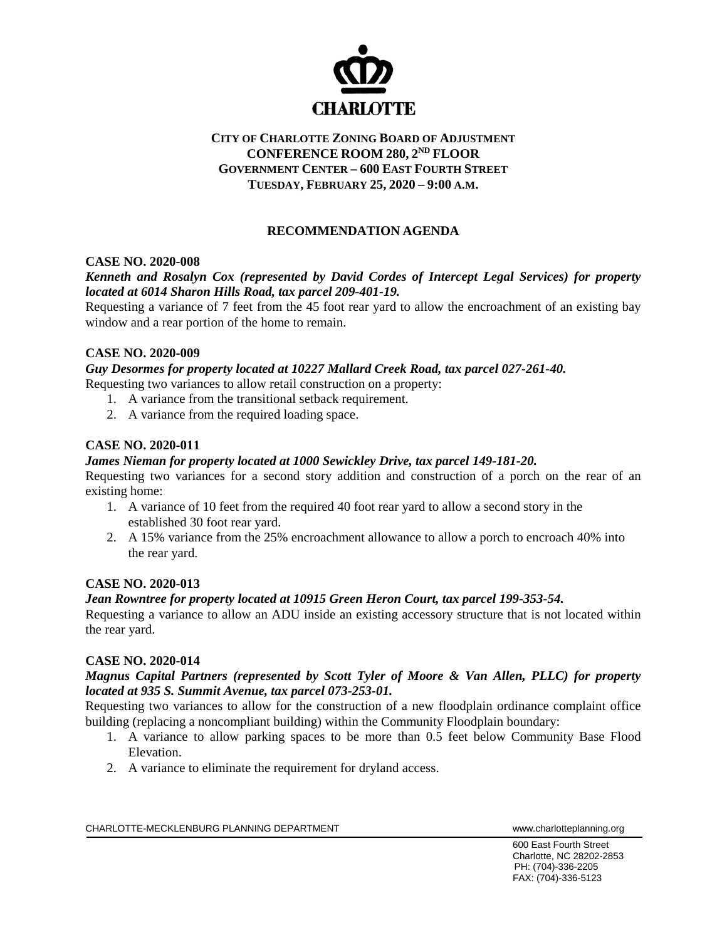

# **CITY OF CHARLOTTE ZONING BOARD OF ADJUSTMENT CONFERENCE ROOM 280, 2ND FLOOR GOVERNMENT CENTER – 600 EAST FOURTH STREET TUESDAY, FEBRUARY 25, 2020 – 9:00 A.M.**

# **RECOMMENDATION AGENDA**

## **CASE NO. 2020-008**

# *Kenneth and Rosalyn Cox (represented by David Cordes of Intercept Legal Services) for property located at 6014 Sharon Hills Road, tax parcel 209-401-19.*

Requesting a variance of 7 feet from the 45 foot rear yard to allow the encroachment of an existing bay window and a rear portion of the home to remain.

## **CASE NO. 2020-009**

*Guy Desormes for property located at 10227 Mallard Creek Road, tax parcel 027-261-40.* 

Requesting two variances to allow retail construction on a property:

- 1. A variance from the transitional setback requirement.
- 2. A variance from the required loading space.

## **CASE NO. 2020-011**

## *James Nieman for property located at 1000 Sewickley Drive, tax parcel 149-181-20.*

Requesting two variances for a second story addition and construction of a porch on the rear of an existing home:

- 1. A variance of 10 feet from the required 40 foot rear yard to allow a second story in the established 30 foot rear yard.
- 2. A 15% variance from the 25% encroachment allowance to allow a porch to encroach 40% into the rear yard.

## **CASE NO. 2020-013**

## *Jean Rowntree for property located at 10915 Green Heron Court, tax parcel 199-353-54.*

Requesting a variance to allow an ADU inside an existing accessory structure that is not located within the rear yard.

#### **CASE NO. 2020-014**

## *Magnus Capital Partners (represented by Scott Tyler of Moore & Van Allen, PLLC) for property located at 935 S. Summit Avenue, tax parcel 073-253-01.*

Requesting two variances to allow for the construction of a new floodplain ordinance complaint office building (replacing a noncompliant building) within the Community Floodplain boundary:

- 1. A variance to allow parking spaces to be more than 0.5 feet below Community Base Flood Elevation.
- 2. A variance to eliminate the requirement for dryland access.

CHARLOTTE-MECKLENBURG PLANNING DEPARTMENT WWW.charlotteplanning.org

600 East Fourth Street Charlotte, NC 28202-2853 PH: (704)-336-2205 FAX: (704)-336-5123